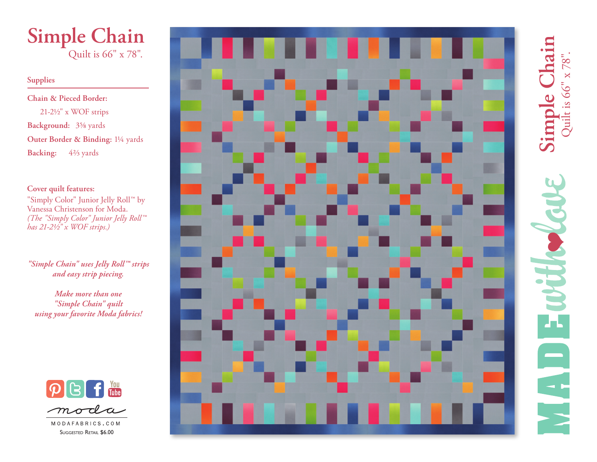

#### **Supplies**

**Chain & Pieced Border:** 21-2½" x WOF strips **Background:** 3⅝ yards **Outer Border & Binding:** 1¼ yards **Backing:** 4⅔ yards

## **Cover quilt features:**

"Simply Color" Junior Jelly Roll™ by Vanessa Christenson for Moda. *(The "Simply Color" Junior Jelly Roll™ has 21-2½" x WOF strips.)*

*"Simple Chain" uses Jelly Roll™ strips and easy strip piecing.*

*Make more than one "Simple Chain" quilt using your favorite Moda fabrics!*



MODAFABRICS.COM Suggested Retail \$6.00



**Simple Chain** ica Simple Chai Quilt is 66" x 78". **FAST** H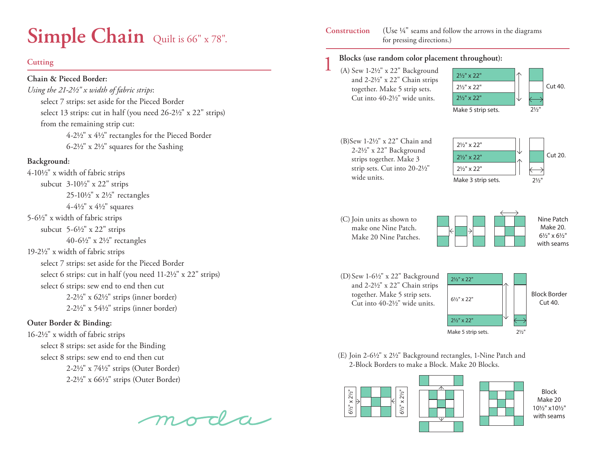# **Simple Chain** Quilt is 66" x 78".

#### **Cutting**

#### **Chain & Pieced Border:**

*Using the 21-2½" x width of fabric strips*: select 7 strips: set aside for the Pieced Border select 13 strips: cut in half (you need 26-2½" x 22" strips) from the remaining strip cut: 4-2½" x 4½" rectangles for the Pieced Border  $6-2\frac{1}{2}$ " x  $2\frac{1}{2}$ " squares for the Sashing

#### **Background:**

4-10½" x width of fabric strips subcut 3-10½" x 22" strips 25-10½" x 2½" rectangles 4-4½" x 4½" squares 5-6½" x width of fabric strips subcut  $5-6\frac{1}{2}$ " x 22" strips 40-6½" x 2½" rectangles 19-2½" x width of fabric strips select 7 strips: set aside for the Pieced Border select 6 strips: cut in half (you need 11-2½" x 22" strips) select 6 strips: sew end to end then cut 2-2½" x 62½" strips (inner border) 2-2½" x 54½" strips (inner border)

## **Outer Border & Binding:**

16-2½" x width of fabric strips select 8 strips: set aside for the Binding select 8 strips: sew end to end then cut 2-2½" x 74½" strips (Outer Border) 2-2½" x 66½" strips (Outer Border)

moda

#### (Use ¼" seams and follow the arrows in the diagrams for pressing directions.) **Construction**

#### 1 **Blocks (use random color placement throughout):**

(A) Sew 1-2½" x 22" Background and 2-2½" x 22" Chain strips together. Make 5 strip sets. Cut into 40-2½" wide units.



(B)Sew 1-2½" x 22" Chain and 2-2½" x 22" Background strips together. Make 3 strip sets. Cut into 20-2½" wide units.



### (C) Join units as shown to make one Nine Patch. Make 20 Nine Patches.



(D)Sew 1-6½" x 22" Background and 2-2½" x 22" Chain strips together. Make 5 strip sets. Cut into 40-2½" wide units.



(E) Join 2-6½" x 2½" Background rectangles, 1-Nine Patch and 2-Block Borders to make a Block. Make 20 Blocks.